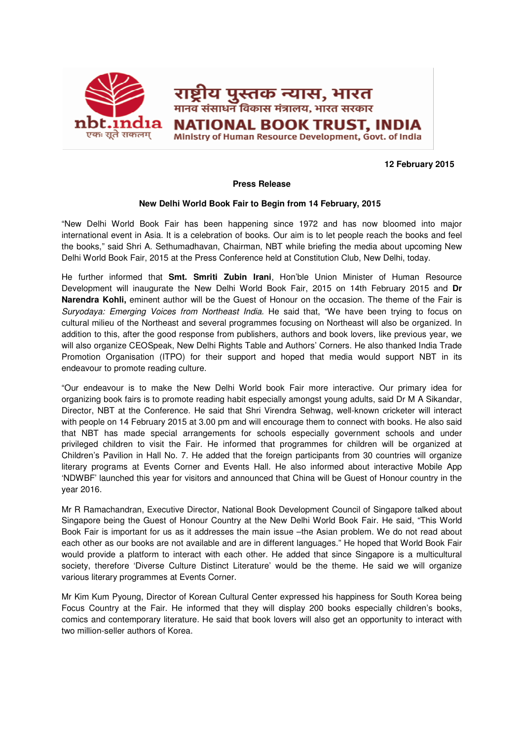

## **12 February 2015**

## **Press Release**

## **New Delhi World Book Fair to Begin from 14 February, 2015**

"New Delhi World Book Fair has been happening since 1972 and has now bloomed into major international event in Asia. It is a celebration of books. Our aim is to let people reach the books and feel the books," said Shri A. Sethumadhavan, Chairman, NBT while briefing the media about upcoming New Delhi World Book Fair, 2015 at the Press Conference held at Constitution Club, New Delhi, today.

He further informed that **Smt. Smriti Zubin Irani**, Hon'ble Union Minister of Human Resource Development will inaugurate the New Delhi World Book Fair, 2015 on 14th February 2015 and **Dr Narendra Kohli,** eminent author will be the Guest of Honour on the occasion. The theme of the Fair is Suryodaya: Emerging Voices from Northeast India. He said that, "We have been trying to focus on cultural milieu of the Northeast and several programmes focusing on Northeast will also be organized. In addition to this, after the good response from publishers, authors and book lovers, like previous year, we will also organize CEOSpeak, New Delhi Rights Table and Authors' Corners. He also thanked India Trade Promotion Organisation (ITPO) for their support and hoped that media would support NBT in its endeavour to promote reading culture.

"Our endeavour is to make the New Delhi World book Fair more interactive. Our primary idea for organizing book fairs is to promote reading habit especially amongst young adults, said Dr M A Sikandar, Director, NBT at the Conference. He said that Shri Virendra Sehwag, well-known cricketer will interact with people on 14 February 2015 at 3.00 pm and will encourage them to connect with books. He also said that NBT has made special arrangements for schools especially government schools and under privileged children to visit the Fair. He informed that programmes for children will be organized at Children's Pavilion in Hall No. 7. He added that the foreign participants from 30 countries will organize literary programs at Events Corner and Events Hall. He also informed about interactive Mobile App 'NDWBF' launched this year for visitors and announced that China will be Guest of Honour country in the year 2016.

Mr R Ramachandran, Executive Director, National Book Development Council of Singapore talked about Singapore being the Guest of Honour Country at the New Delhi World Book Fair. He said, "This World Book Fair is important for us as it addresses the main issue –the Asian problem. We do not read about each other as our books are not available and are in different languages." He hoped that World Book Fair would provide a platform to interact with each other. He added that since Singapore is a multicultural society, therefore 'Diverse Culture Distinct Literature' would be the theme. He said we will organize various literary programmes at Events Corner.

Mr Kim Kum Pyoung, Director of Korean Cultural Center expressed his happiness for South Korea being Focus Country at the Fair. He informed that they will display 200 books especially children's books, comics and contemporary literature. He said that book lovers will also get an opportunity to interact with two million-seller authors of Korea.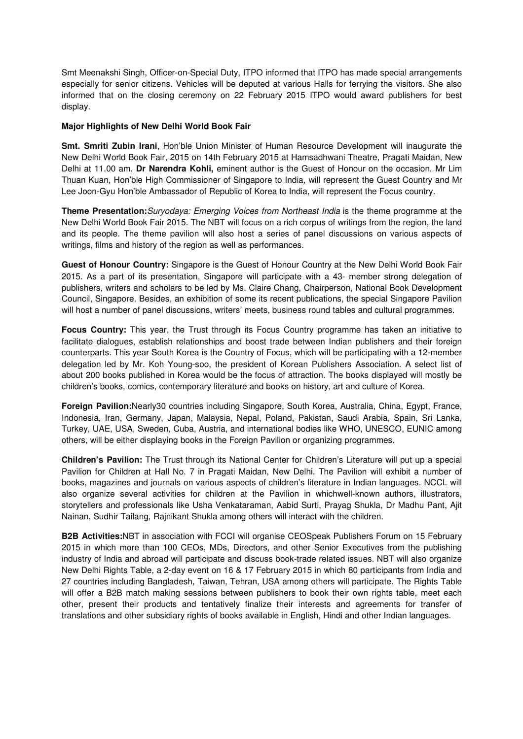Smt Meenakshi Singh, Officer-on-Special Duty, ITPO informed that ITPO has made special arrangements especially for senior citizens. Vehicles will be deputed at various Halls for ferrying the visitors. She also informed that on the closing ceremony on 22 February 2015 ITPO would award publishers for best display.

## **Major Highlights of New Delhi World Book Fair**

**Smt. Smriti Zubin Irani**, Hon'ble Union Minister of Human Resource Development will inaugurate the New Delhi World Book Fair, 2015 on 14th February 2015 at Hamsadhwani Theatre, Pragati Maidan, New Delhi at 11.00 am. **Dr Narendra Kohli,** eminent author is the Guest of Honour on the occasion. Mr Lim Thuan Kuan, Hon'ble High Commissioner of Singapore to India, will represent the Guest Country and Mr Lee Joon-Gyu Hon'ble Ambassador of Republic of Korea to India, will represent the Focus country.

**Theme Presentation:**Suryodaya: Emerging Voices from Northeast India is the theme programme at the New Delhi World Book Fair 2015. The NBT will focus on a rich corpus of writings from the region, the land and its people. The theme pavilion will also host a series of panel discussions on various aspects of writings, films and history of the region as well as performances.

**Guest of Honour Country:** Singapore is the Guest of Honour Country at the New Delhi World Book Fair 2015. As a part of its presentation, Singapore will participate with a 43- member strong delegation of publishers, writers and scholars to be led by Ms. Claire Chang, Chairperson, National Book Development Council, Singapore. Besides, an exhibition of some its recent publications, the special Singapore Pavilion will host a number of panel discussions, writers' meets, business round tables and cultural programmes.

**Focus Country:** This year, the Trust through its Focus Country programme has taken an initiative to facilitate dialogues, establish relationships and boost trade between Indian publishers and their foreign counterparts. This year South Korea is the Country of Focus, which will be participating with a 12-member delegation led by Mr. Koh Young-soo, the president of Korean Publishers Association. A select list of about 200 books published in Korea would be the focus of attraction. The books displayed will mostly be children's books, comics, contemporary literature and books on history, art and culture of Korea.

**Foreign Pavilion:**Nearly30 countries including Singapore, South Korea, Australia, China, Egypt, France, Indonesia, Iran, Germany, Japan, Malaysia, Nepal, Poland, Pakistan, Saudi Arabia, Spain, Sri Lanka, Turkey, UAE, USA, Sweden, Cuba, Austria, and international bodies like WHO, UNESCO, EUNIC among others, will be either displaying books in the Foreign Pavilion or organizing programmes.

**Children's Pavilion:** The Trust through its National Center for Children's Literature will put up a special Pavilion for Children at Hall No. 7 in Pragati Maidan, New Delhi. The Pavilion will exhibit a number of books, magazines and journals on various aspects of children's literature in Indian languages. NCCL will also organize several activities for children at the Pavilion in whichwell-known authors, illustrators, storytellers and professionals like Usha Venkataraman, Aabid Surti, Prayag Shukla, Dr Madhu Pant, Ajit Nainan, Sudhir Tailang, Rajnikant Shukla among others will interact with the children.

**B2B Activities:**NBT in association with FCCI will organise CEOSpeak Publishers Forum on 15 February 2015 in which more than 100 CEOs, MDs, Directors, and other Senior Executives from the publishing industry of India and abroad will participate and discuss book-trade related issues. NBT will also organize New Delhi Rights Table, a 2-day event on 16 & 17 February 2015 in which 80 participants from India and 27 countries including Bangladesh, Taiwan, Tehran, USA among others will participate. The Rights Table will offer a B2B match making sessions between publishers to book their own rights table, meet each other, present their products and tentatively finalize their interests and agreements for transfer of translations and other subsidiary rights of books available in English, Hindi and other Indian languages.